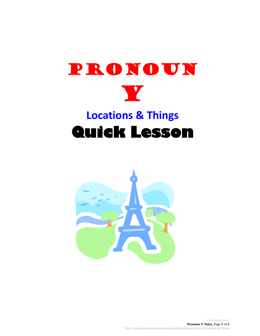

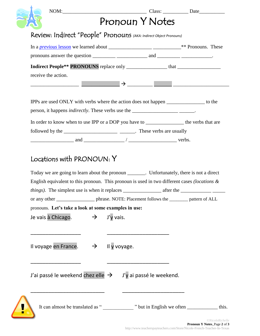|                                                                                                                          | Pronoun Y Notes |  |
|--------------------------------------------------------------------------------------------------------------------------|-----------------|--|
|                                                                                                                          |                 |  |
| Review: Indirect "People" Pronouns (AKA: Indirect Object Pronouns)                                                       |                 |  |
|                                                                                                                          |                 |  |
|                                                                                                                          |                 |  |
|                                                                                                                          |                 |  |
| receive the action.                                                                                                      |                 |  |
|                                                                                                                          |                 |  |
| IPPs are used ONLY with verbs where the action does not happen _______________ to the                                    |                 |  |
|                                                                                                                          |                 |  |
| In order to know when to use IPP or a DOP you have to _______________________ the verbs that are                         |                 |  |
|                                                                                                                          |                 |  |
| $\frac{1}{2}$ and $\frac{1}{2}$ and $\frac{1}{2}$ $\frac{1}{2}$ verbs.                                                   |                 |  |
| Locations with PRONOUN: Y<br>Today we are going to learn about the pronoun _______. Unfortunately, there is not a direct |                 |  |
| English equivalent to this pronoun. This pronoun is used in two different cases (locations $\&$                          |                 |  |
| or any other _______________________ phrase. NOTE: Placement follows the __________ pattern of ALL                       |                 |  |
| pronouns. Let's take a look at some examples in use:                                                                     |                 |  |
| Je vais à Chicago. $\rightarrow$ J'y vais.                                                                               |                 |  |
|                                                                                                                          |                 |  |
|                                                                                                                          |                 |  |
| Il voyage en France. $\rightarrow$ Il y voyage.                                                                          |                 |  |
|                                                                                                                          |                 |  |
|                                                                                                                          |                 |  |
| J'ai passé le weekend chez elle $\rightarrow$ J'y ai passé le weekend.                                                   |                 |  |
|                                                                                                                          |                 |  |
| It can almost be translated as " <u>_______</u> " but in English we often  ______________ this.                          |                 |  |